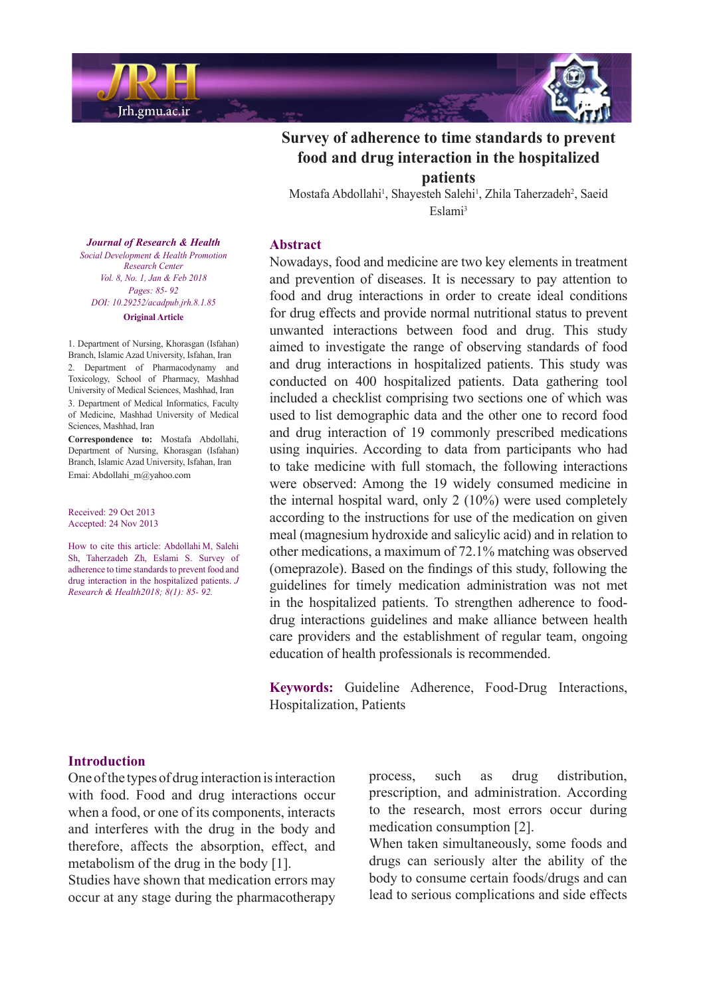



# **Survey of adherence to time standards to prevent** food and drug interaction in the hospitalized **patients**

Mostafa Abdollahi<sup>1</sup>, Shayesteh Salehi<sup>1</sup>, Zhila Taherzadeh<sup>2</sup>, Saeid Eslami<sup>3</sup>

# **Abstract**

Nowadays, food and medicine are two key elements in treatment and prevention of diseases. It is necessary to pay attention to food and drug interactions in order to create ideal conditions for drug effects and provide normal nutritional status to prevent unwanted interactions between food and drug. This study aimed to investigate the range of observing standards of food and drug interactions in hospitalized patients. This study was conducted on 400 hospitalized patients. Data gathering tool included a checklist comprising two sections one of which was used to list demographic data and the other one to record food and drug interaction of 19 commonly prescribed medications using inquiries. According to data from participants who had to take medicine with full stomach, the following interactions were observed: Among the 19 widely consumed medicine in the internal hospital ward, only  $2(10\%)$  were used completely according to the instructions for use of the medication on given meal (magnesium hydroxide and salicylic acid) and in relation to other medications, a maximum of 72.1% matching was observed (omeprazole). Based on the findings of this study, following the guidelines for timely medication administration was not met drug interactions guidelines and make alliance between health in the hospitalized patients. To strengthen adherence to foodcare providers and the establishment of regular team, ongoing education of health professionals is recommended.

Keywords: Guideline Adherence, Food-Drug Interactions, Hospitalization, Patients

#### *Journal of Research & Health Promotion Health & Development Social Center Research Vol. 8, No. 1, Jan & Feb 2018 Pages*: 85- 92 *DOI*: 10.29252/acadpub.jrh.8.1.85 **Original** Article

1. Department of Nursing, Khorasgan (Isfahan) Branch, Islamic Azad University, Isfahan, Iran 2. Department of Pharmacodynamy and Toxicology, School of Pharmacy, Mashhad University of Medical Sciences, Mashhad, Iran 3. Department of Medical Informatics, Faculty of Medicine, Mashhad University of Medical Sciences, Mashhad, Iran

Correspondence to: Mostafa Abdollahi, Department of Nursing, Khorasgan (Isfahan) Branch, Islamic Azad University, Isfahan, Iran Emai: Abdollahi m@yahoo.com

Received: 29 Oct 2013 Accepted: 24 Nov 2013

How to cite this article: Abdollahi M, Salehi Sh, Taherzadeh Zh, Eslami S. Survey of adherence to time standards to prevent food and *drug* interaction in the hospitalized patients. *J Research & Health 2018*;  $\frac{8}{1}$ : 85- 92.

### **Introduction**

One of the types of drug interaction is interaction with food. Food and drug interactions occur when a food, or one of its components, interacts and interferes with the drug in the body and therefore, affects the absorption, effect, and metabolism of the drug in the body  $[1]$ .

Studies have shown that medication errors may occur at any stage during the pharmacotherapy process, such as drug distribution, prescription, and administration. According to the research, most errors occur during medication consumption [2].

When taken simultaneously, some foods and drugs can seriously alter the ability of the body to consume certain foods/drugs and can lead to serious complications and side effects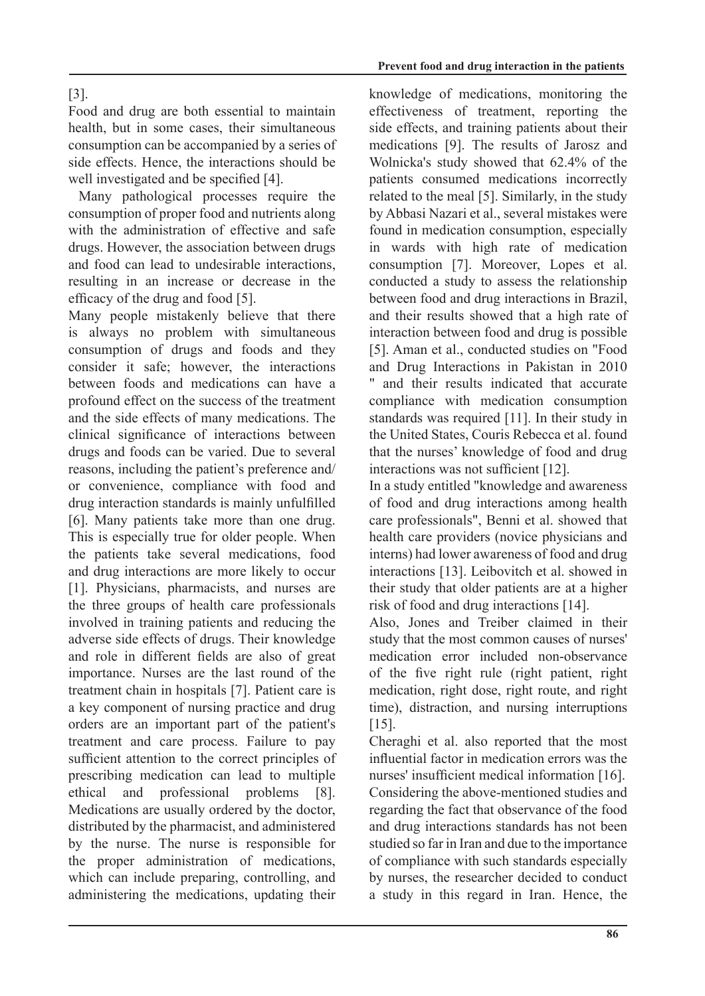# .[3]

Food and drug are both essential to maintain health, but in some cases, their simultaneous consumption can be accompanied by a series of side effects. Hence, the interactions should be well investigated and be specified [4].

Many pathological processes require the consumption of proper food and nutrients along with the administration of effective and safe drugs. However, the association between drugs and food can lead to undesirable interactions. resulting in an increase or decrease in the efficacy of the drug and food  $[5]$ .

Many people mistakenly believe that there is always no problem with simultaneous consumption of drugs and foods and they consider it safe; however, the interactions between foods and medications can have a profound effect on the success of the treatment and the side effects of many medications. The clinical significance of interactions between drugs and foods can be varied. Due to several reasons, including the patient's preference and/ or convenience, compliance with food and drug interaction standards is mainly unfulfilled [6]. Many patients take more than one drug. This is especially true for older people. When the patients take several medications, food and drug interactions are more likely to occur [1]. Physicians, pharmacists, and nurses are the three groups of health care professionals involved in training patients and reducing the adverse side effects of drugs. Their knowledge and role in different fields are also of great importance. Nurses are the last round of the treatment chain in hospitals [7]. Patient care is a key component of nursing practice and drug orders are an important part of the patient's treatment and care process. Failure to pay sufficient attention to the correct principles of prescribing medication can lead to multiple ethical and professional problems [8]. Medications are usually ordered by the doctor, distributed by the pharmacist, and administered by the nurse. The nurse is responsible for the proper administration of medications, which can include preparing, controlling, and administering the medications, updating their knowledge of medications, monitoring the effectiveness of treatment, reporting the side effects, and training patients about their medications [9]. The results of Jarosz and Wolnicka's study showed that  $62.4\%$  of the patients consumed medications incorrectly related to the meal  $[5]$ . Similarly, in the study by Abbasi Nazari et al., several mistakes were found in medication consumption, especially in wards with high rate of medication consumption [7]. Moreover, Lopes et al. conducted a study to assess the relationship between food and drug interactions in Brazil, and their results showed that a high rate of interaction between food and drug is possible [5]. Aman et al., conducted studies on "Food and Drug Interactions in Pakistan in 2010 " and their results indicated that accurate compliance with medication consumption standards was required  $[11]$ . In their study in the United States, Couris Rebecca et al. found that the nurses' knowledge of food and drug interactions was not sufficient  $[12]$ .

In a study entitled "knowledge and awareness" of food and drug interactions among health care professionals", Benni et al. showed that health care providers (novice physicians and interns) had lower awareness of food and drug interactions [13]. Leibovitch et al. showed in their study that older patients are at a higher risk of food and drug interactions  $[14]$ .

Also, Jones and Treiber claimed in their study that the most common causes of nurses' medication error included non-observance of the five right rule (right patient, right medication, right dose, right route, and right time), distraction, and nursing interruptions .[15]

Cheraghi et al. also reported that the most influential factor in medication errors was the nurses' insufficient medical information [16]. Considering the above-mentioned studies and regarding the fact that observance of the food and drug interactions standards has not been studied so far in Iran and due to the importance of compliance with such standards especially by nurses, the researcher decided to conduct a study in this regard in Iran. Hence, the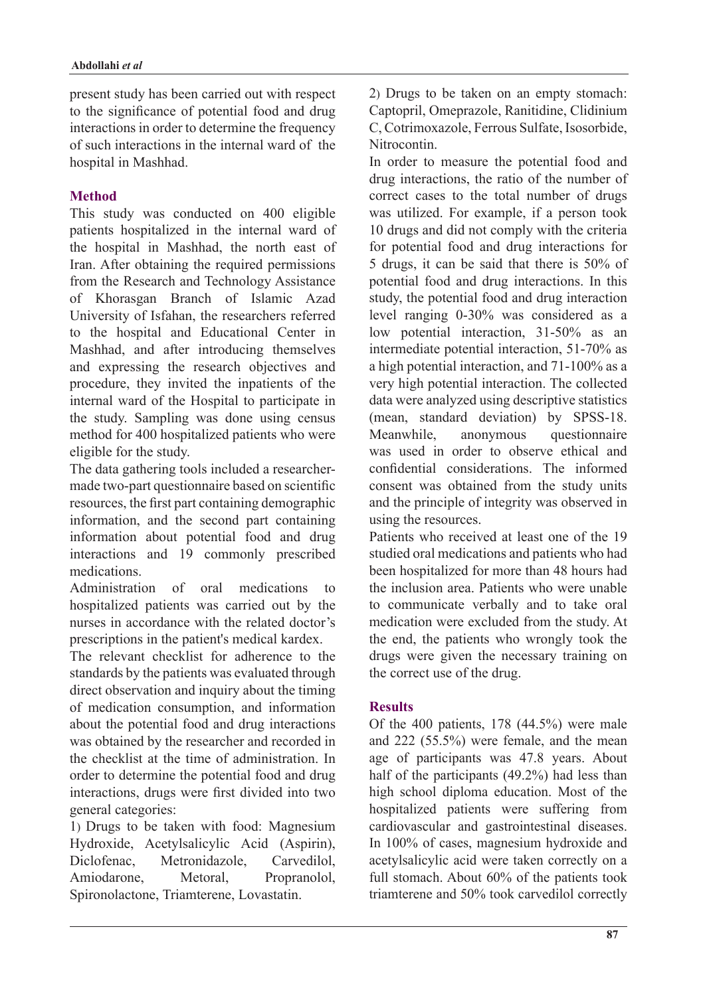present study has been carried out with respect to the significance of potential food and drug interactions in order to determine the frequency of such interactions in the internal ward of the hospital in Mashhad.

# **Method**

This study was conducted on 400 eligible patients hospitalized in the internal ward of the hospital in Mashhad, the north east of Iran. After obtaining the required permissions from the Research and Technology Assistance of Khorasgan Branch of Islamic Azad University of Isfahan, the researchers referred to the hospital and Educational Center in Mashhad, and after introducing themselves and expressing the research objectives and procedure, they invited the inpatients of the internal ward of the Hospital to participate in the study. Sampling was done using census method for 400 hospitalized patients who were eligible for the study.

made two-part questionnaire based on scientific The data gathering tools included a researcherresources, the first part containing demographic information, and the second part containing information about potential food and drug interactions and 19 commonly prescribed medications.

Administration of oral medications to hospitalized patients was carried out by the nurses in accordance with the related doctor's prescriptions in the patient's medical kardex.

The relevant checklist for adherence to the standards by the patients was evaluated through direct observation and inquiry about the timing of medication consumption, and information about the potential food and drug interactions was obtained by the researcher and recorded in the checklist at the time of administration. In order to determine the potential food and drug interactions, drugs were first divided into two general categories:

1) Drugs to be taken with food: Magnesium Hydroxide, Acetylsalicylic Acid (Aspirin), Diclofenac, Metronidazole, Carvedilol, Amiodarone, Metoral, Propranolol, Spironolactone, Triamterene, Lovastatin.

2) Drugs to be taken on an empty stomach: Captopril, Omeprazole, Ranitidine, Clidinium C, Cotrimoxazole, Ferrous Sulfate, Isosorbide, Nitrocontin.

In order to measure the potential food and drug interactions, the ratio of the number of correct cases to the total number of drugs was utilized. For example, if a person took 10 drugs and did not comply with the criteria for potential food and drug interactions for 5 drugs, it can be said that there is  $50\%$  of potential food and drug interactions. In this study, the potential food and drug interaction level ranging  $0-30\%$  was considered as a low potential interaction,  $31-50\%$  as an intermediate potential interaction,  $51-70\%$  as a high potential interaction, and  $71-100\%$  as a very high potential interaction. The collected data were analyzed using descriptive statistics (mean, standard deviation) by SPSS-18. Meanwhile, anonymous questionnaire was used in order to observe ethical and confidential considerations. The informed consent was obtained from the study units and the principle of integrity was observed in using the resources.

Patients who received at least one of the 19 studied oral medications and patients who had been hospitalized for more than 48 hours had the inclusion area. Patients who were unable to communicate verbally and to take oral medication were excluded from the study. At the end, the patients who wrongly took the drugs were given the necessary training on the correct use of the drug.

# **Results**

Of the 400 patients,  $178$  (44.5%) were male and  $222$   $(55.5%)$  were female, and the mean age of participants was 47.8 years. About half of the participants  $(49.2\%)$  had less than high school diploma education. Most of the hospitalized patients were suffering from cardiovascular and gastrointestinal diseases. In  $100\%$  of cases, magnesium hydroxide and acetylsalicylic acid were taken correctly on a full stomach. About  $60\%$  of the patients took triamterene and 50% took carvedilol correctly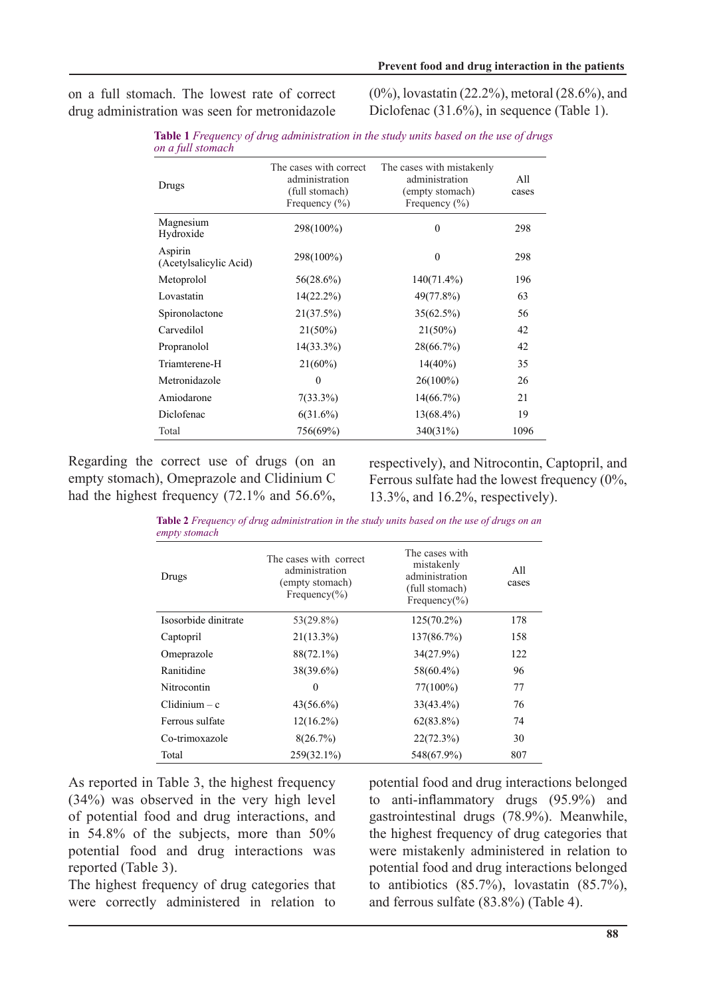on a full stomach. The lowest rate of correct drug administration was seen for metronidazole  $(0\%)$ , lovastatin  $(22.2\%)$ , metoral  $(28.6\%)$ , and Diclofenac  $(31.6\%)$ , in sequence (Table 1).

| on a juu siomach                  |                                                                                 |                                                                                     |              |
|-----------------------------------|---------------------------------------------------------------------------------|-------------------------------------------------------------------------------------|--------------|
| Drugs                             | The cases with correct<br>administration<br>(full stomach)<br>Frequency $(\% )$ | The cases with mistakenly<br>administration<br>(empty stomach)<br>Frequency $(\% )$ | All<br>cases |
| Magnesium<br>Hydroxide            | 298(100%)                                                                       | $\theta$                                                                            | 298          |
| Aspirin<br>(Acetylsalicylic Acid) | 298(100%)                                                                       | $\theta$                                                                            | 298          |
| Metoprolol                        | 56(28.6%)                                                                       | 140(71.4%)                                                                          | 196          |
| Lovastatin                        | $14(22.2\%)$                                                                    | 49(77.8%)                                                                           | 63           |
| Spironolactone                    | 21(37.5%)                                                                       | 35(62.5%)                                                                           | 56           |
| Carvedilol                        | $21(50\%)$                                                                      | $21(50\%)$                                                                          | 42           |
| Propranolol                       | $14(33.3\%)$                                                                    | 28(66.7%)                                                                           | 42           |
| Triamterene-H                     | $21(60\%)$                                                                      | $14(40\%)$                                                                          | 35           |
| Metronidazole                     | $\theta$                                                                        | $26(100\%)$                                                                         | 26           |
| Amiodarone                        | $7(33.3\%)$                                                                     | $14(66.7\%)$                                                                        | 21           |
| Diclofenac                        | $6(31.6\%)$                                                                     | $13(68.4\%)$                                                                        | 19           |
| Total                             | 756(69%)                                                                        | 340(31%)                                                                            | 1096         |

**Table 1** Frequency of drug administration in the study units based on the use of drugs *stomach full a on*

Regarding the correct use of drugs (on an empty stomach), Omeprazole and Clidinium C had the highest frequency  $(72.1\%$  and 56.6%,

respectively), and Nitrocontin, Captopril, and Ferrous sulfate had the lowest frequency  $(0\%$ , 13.3%, and 16.2%, respectively).

Table 2 Frequency of drug administration in the study units based on the use of drugs on an *empty* stomach

| Drugs                | The cases with correct<br>administration<br>(empty stomach)<br>Frequency( $\%$ ) | The cases with<br>mistakenly<br>administration<br>(full stomach)<br>Frequency( $\%$ ) | All<br>cases |
|----------------------|----------------------------------------------------------------------------------|---------------------------------------------------------------------------------------|--------------|
| Isosorbide dinitrate | 53(29.8%)                                                                        | $125(70.2\%)$                                                                         | 178          |
| Captopril            | $21(13.3\%)$                                                                     | 137(86.7%)                                                                            | 158          |
| Omeprazole           | 88(72.1%)                                                                        | $34(27.9\%)$                                                                          | 122          |
| Ranitidine           | 38(39.6%)                                                                        | 58(60.4%)                                                                             | 96           |
| Nitrocontin          | $\theta$                                                                         | 77(100%)                                                                              | 77           |
| $C$ lidinium – c     | $43(56.6\%)$                                                                     | $33(43.4\%)$                                                                          | 76           |
| Ferrous sulfate      | $12(16.2\%)$                                                                     | $62(83.8\%)$                                                                          | 74           |
| Co-trimoxazole       | 8(26.7%)                                                                         | 22(72.3%)                                                                             | 30           |
| Total                | 259(32.1%)                                                                       | 548(67.9%)                                                                            | 807          |

As reported in Table 3, the highest frequency  $(34%)$  was observed in the very high level of potential food and drug interactions, and in  $54.8\%$  of the subjects, more than  $50\%$ potential food and drug interactions was reported (Table 3).

The highest frequency of drug categories that were correctly administered in relation to potential food and drug interactions belonged to anti-inflammatory drugs  $(95.9\%)$  and gastrointestinal drugs  $(78.9\%)$ . Meanwhile, the highest frequency of drug categories that were mistakenly administered in relation to potential food and drug interactions belonged to antibiotics  $(85.7\%)$ , lovastatin  $(85.7\%)$ , and ferrous sulfate  $(83.8\%)$  (Table 4).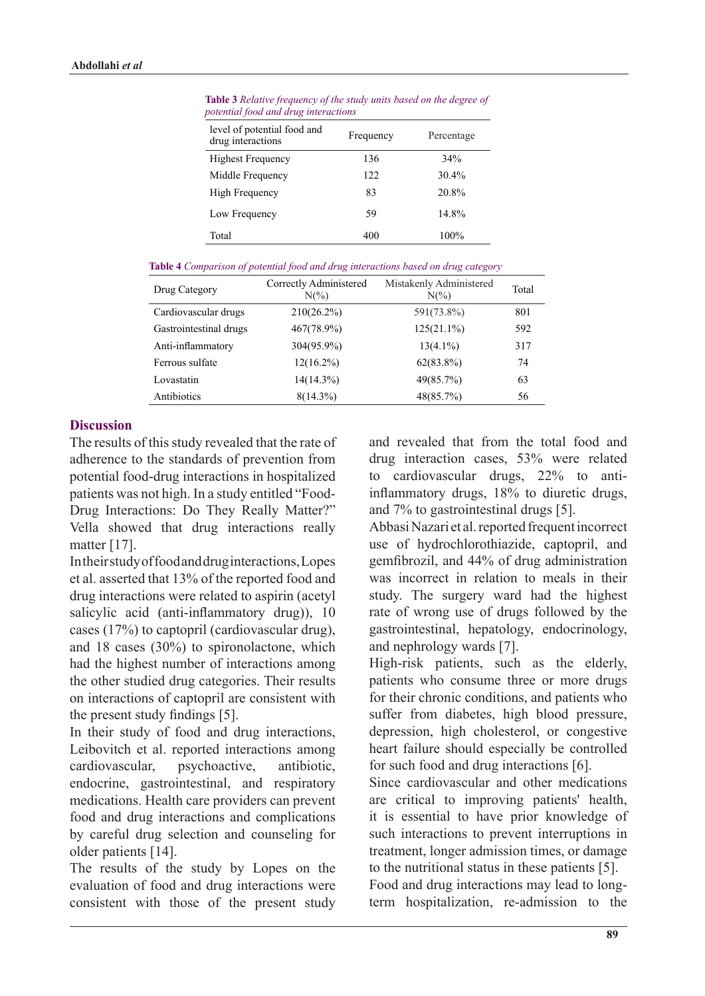| level of potential food and<br>drug interactions | Frequency | Percentage |
|--------------------------------------------------|-----------|------------|
| <b>Highest Frequency</b>                         | 136       | 34%        |
| Middle Frequency                                 | 122       | 30.4%      |
| High Frequency                                   | 83        | 20.8%      |
| Low Frequency                                    | 59        | 14.8%      |
| Total                                            | 400       | 100%       |

**Table 3** Relative frequency of the study units based on the degree of *interactions drug and food potential*

Table 4 Comparison of potential food and drug interactions based on drug category

| Drug Category          | Correctly Administered<br>$N(\%)$ | Mistakenly Administered<br>$N(\%)$ | Total |
|------------------------|-----------------------------------|------------------------------------|-------|
| Cardiovascular drugs   | $210(26.2\%)$                     | 591(73.8%)                         | 801   |
| Gastrointestinal drugs | 467(78.9%)                        | $125(21.1\%)$                      | 592   |
| Anti-inflammatory      | 304(95.9%)                        | $13(4.1\%)$                        | 317   |
| Ferrous sulfate        | $12(16.2\%)$                      | $62(83.8\%)$                       | 74    |
| Lovastatin             | $14(14.3\%)$                      | 49(85.7%)                          | 63    |
| Antibiotics            | $8(14.3\%)$                       | 48(85.7%)                          | 56    |

# **Discussion**

The results of this study revealed that the rate of adherence to the standards of prevention from potential food-drug interactions in hospitalized Drug Interactions: Do They Really Matter?" patients was not high. In a study entitled "Food-Vella showed that drug interactions really matter  $[17]$ .

In their study of food and drug interactions, Lopes et al. asserted that 13% of the reported food and drug interactions were related to aspirin (acetyl salicylic acid (anti-inflammatory drug)), 10 cases  $(17%)$  to captopril (cardiovascular drug). and 18 cases  $(30\%)$  to spironolactone, which had the highest number of interactions among the other studied drug categories. Their results on interactions of captopril are consistent with the present study findings  $[5]$ .

In their study of food and drug interactions, Leibovitch et al. reported interactions among cardiovascular, psychoactive, antibiotic, endocrine, gastrointestinal, and respiratory medications. Health care providers can prevent food and drug interactions and complications by careful drug selection and counseling for older patients [14].

The results of the study by Lopes on the evaluation of food and drug interactions were consistent with those of the present study and revealed that from the total food and drug interaction cases, 53% were related inflammatory drugs, 18% to diuretic drugs, to cardiovascular drugs,  $22%$  to antiand  $7\%$  to gastrointestinal drugs [5].

Abbasi Nazari et al. reported frequent incorrect use of hydrochlorothiazide, captopril, and gemfibrozil, and 44% of drug administration was incorrect in relation to meals in their study. The surgery ward had the highest rate of wrong use of drugs followed by the gastrointestinal, hepatology, endocrinology, and nephrology wards  $[7]$ .

High-risk patients, such as the elderly, patients who consume three or more drugs for their chronic conditions, and patients who suffer from diabetes, high blood pressure, depression, high cholesterol, or congestive heart failure should especially be controlled for such food and drug interactions  $[6]$ .

Since cardiovascular and other medications are critical to improving patients' health, it is essential to have prior knowledge of such interactions to prevent interruptions in treatment, longer admission times, or damage to the nutritional status in these patients  $[5]$ . Food and drug interactions may lead to long-

term hospitalization, re-admission to the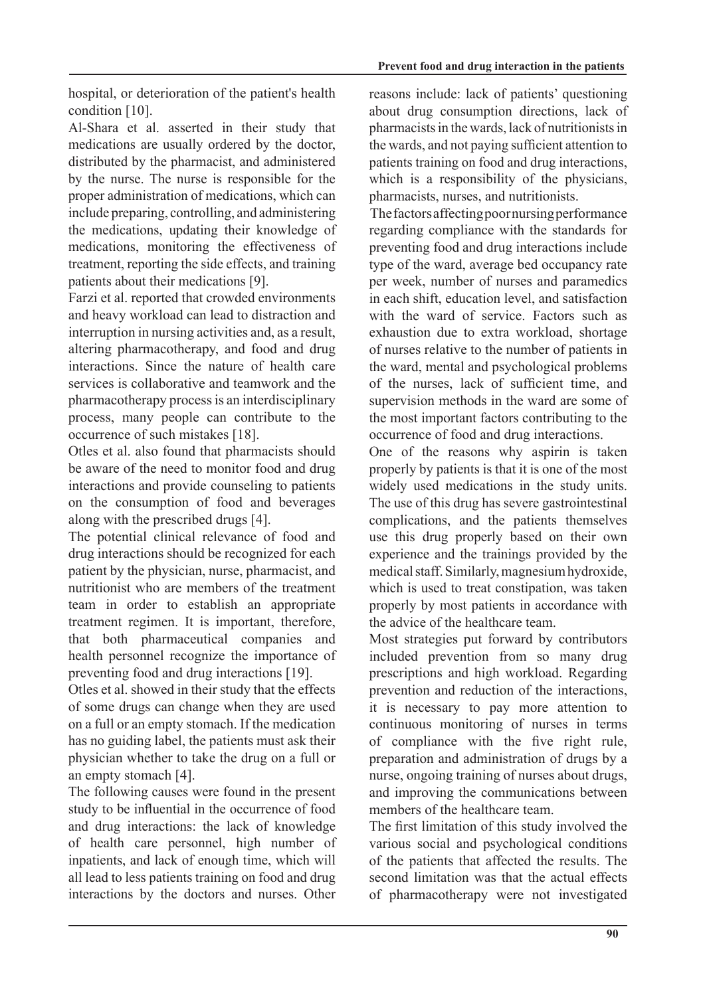hospital, or deterioration of the patient's health condition [10].

Al-Shara et al. asserted in their study that medications are usually ordered by the doctor, distributed by the pharmacist, and administered by the nurse. The nurse is responsible for the proper administration of medications, which can include preparing, controlling, and administering the medications, updating their knowledge of medications, monitoring the effectiveness of treatment, reporting the side effects, and training patients about their medications [9].

Farzi et al. reported that crowded environments and heavy workload can lead to distraction and interruption in nursing activities and, as a result, altering pharmacotherapy, and food and drug interactions. Since the nature of health care services is collaborative and teamwork and the pharmacotherapy process is an interdisciplinary process, many people can contribute to the occurrence of such mistakes [18].

Otles et al. also found that pharmacists should be aware of the need to monitor food and drug interactions and provide counseling to patients on the consumption of food and beverages along with the prescribed drugs [4].

The potential clinical relevance of food and drug interactions should be recognized for each patient by the physician, nurse, pharmacist, and nutritionist who are members of the treatment team in order to establish an appropriate treatment regimen. It is important, therefore, that both pharmaceutical companies and health personnel recognize the importance of preventing food and drug interactions [19].

Otles et al. showed in their study that the effects of some drugs can change when they are used on a full or an empty stomach. If the medication has no guiding label, the patients must ask their physician whether to take the drug on a full or an empty stomach  $[4]$ .

The following causes were found in the present study to be influential in the occurrence of food and drug interactions: the lack of knowledge of health care personnel, high number of inpatients, and lack of enough time, which will all lead to less patients training on food and drug interactions by the doctors and nurses. Other reasons include: lack of patients' questioning about drug consumption directions, lack of pharmacists in the wards, lack of nutritionists in the wards, and not paying sufficient attention to patients training on food and drug interactions. which is a responsibility of the physicians. pharmacists, nurses, and nutritionists.

The factors affecting poor nursing performance regarding compliance with the standards for preventing food and drug interactions include type of the ward, average bed occupancy rate per week, number of nurses and paramedics in each shift, education level, and satisfaction with the ward of service. Factors such as exhaustion due to extra workload, shortage of nurses relative to the number of patients in the ward, mental and psychological problems of the nurses, lack of sufficient time, and supervision methods in the ward are some of the most important factors contributing to the occurrence of food and drug interactions.

One of the reasons why aspirin is taken properly by patients is that it is one of the most widely used medications in the study units. The use of this drug has severe gastrointestinal complications, and the patients themselves use this drug properly based on their own experience and the trainings provided by the medical staff. Similarly, magnesium hydroxide, which is used to treat constipation, was taken properly by most patients in accordance with the advice of the healthcare team.

Most strategies put forward by contributors included prevention from so many drug prescriptions and high workload. Regarding prevention and reduction of the interactions, it is necessary to pay more attention to continuous monitoring of nurses in terms of compliance with the five right rule, preparation and administration of drugs by a nurse, ongoing training of nurses about drugs, and improving the communications between members of the healthcare team.

The first limitation of this study involved the various social and psychological conditions of the patients that affected the results. The second limitation was that the actual effects of pharmacotherapy were not investigated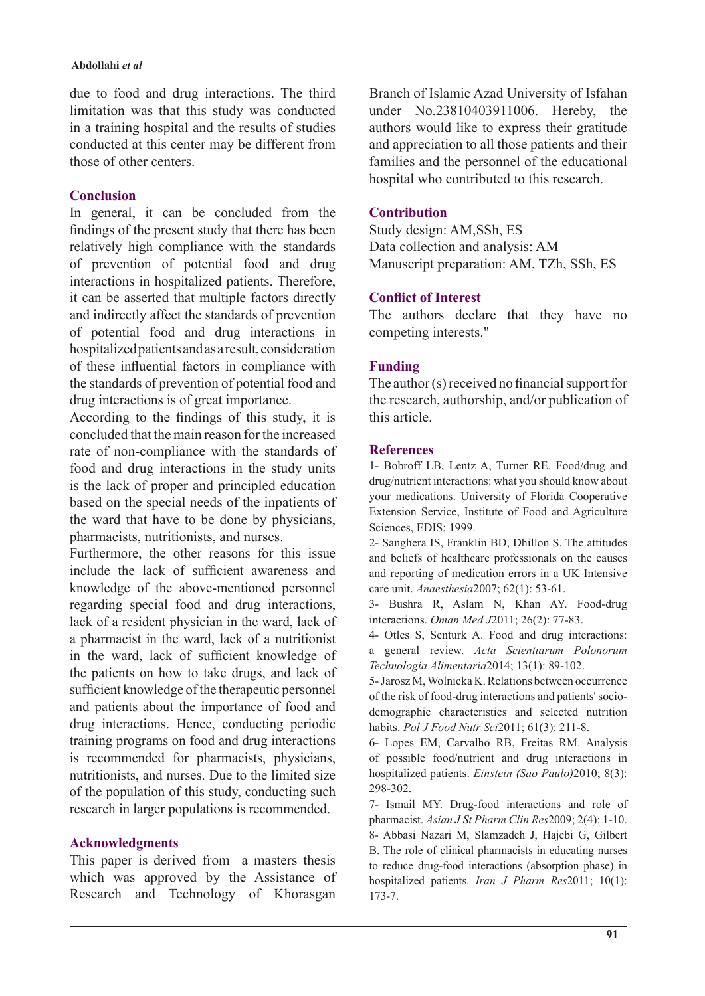due to food and drug interactions. The third limitation was that this study was conducted in a training hospital and the results of studies conducted at this center may be different from those of other centers.

### **Conclusion**

In general, it can be concluded from the findings of the present study that there has been relatively high compliance with the standards of prevention of potential food and drug interactions in hospitalized patients. Therefore, it can be asserted that multiple factors directly and indirectly affect the standards of prevention of potential food and drug interactions in hospitalized patients and as a result, consideration of these influential factors in compliance with the standards of prevention of potential food and drug interactions is of great importance.

According to the findings of this study, it is concluded that the main reason for the increased rate of non-compliance with the standards of food and drug interactions in the study units is the lack of proper and principled education based on the special needs of the inpatients of the ward that have to be done by physicians, pharmacists, nutritionists, and nurses.

Furthermore the other reasons for this issue include the lack of sufficient awareness and knowledge of the above-mentioned personnel regarding special food and drug interactions, lack of a resident physician in the ward, lack of a pharmacist in the ward, lack of a nutritionist in the ward, lack of sufficient knowledge of the patients on how to take drugs, and lack of sufficient knowledge of the therapeutic personnel and patients about the importance of food and drug interactions. Hence, conducting periodic training programs on food and drug interactions is recommended for pharmacists, physicians, nutritionists, and nurses. Due to the limited size of the population of this study, conducting such research in larger populations is recommended.

#### **Acknowledgments**

This paper is derived from a masters thesis which was approved by the Assistance of Research and Technology of Khorasgan Branch of Islamic Azad University of Isfahan under No.23810403911006. Hereby, the authors would like to express their gratitude and appreciation to all those patients and their families and the personnel of the educational hospital who contributed to this research.

### **Contribution**

Study design: AM, SSh, ES Data collection and analysis: AM Manuscript preparation: AM, TZh, SSh, ES

### **Conflict of Interest**

The authors declare that they have no competing interests."

### **Funding**

The author  $(s)$  received no financial support for the research, authorship, and/or publication of this article.

#### **References**

1- Bobroff LB, Lentz A, Turner RE. Food/drug and drug/nutrient interactions: what you should know about your medications. University of Florida Cooperative Extension Service, Institute of Food and Agriculture Sciences, EDIS; 1999.

2- Sanghera IS, Franklin BD, Dhillon S. The attitudes and beliefs of healthcare professionals on the causes and reporting of medication errors in a UK Intensive care unit. Anaesthesia 2007; 62(1): 53-61.

3- Bushra R, Aslam N, Khan AY. Food-drug interactions. Oman Med J2011; 26(2): 77-83.

4- Otles S, Senturk A. Food and drug interactions: a general review. Acta Scientiarum Polonorum Technologia Alimentaria 2014; 13(1): 89-102.

5- Jarosz M. Wolnicka K. Relations between occurrence demographic characteristics and selected nutrition of the risk of food-drug interactions and patients' sociohabits. Pol J Food Nutr Sci 2011; 61(3): 211-8.

6- Lopes EM, Carvalho RB, Freitas RM. Analysis of possible food/nutrient and drug interactions in hospitalized patients. *Einstein (Sao Paulo*)2010: 8(3): 298-302.

7- Ismail MY. Drug-food interactions and role of pharmacist. Asian J St Pharm Clin Res 2009; 2(4): 1-10. 8- Abbasi Nazari M, Slamzadeh J, Hajebi G, Gilbert B. The role of clinical pharmacists in educating nurses to reduce drug-food interactions (absorption phase) in hospitalized patients. *Iran J Pharm Res* 2011; 10(1): 173-7.